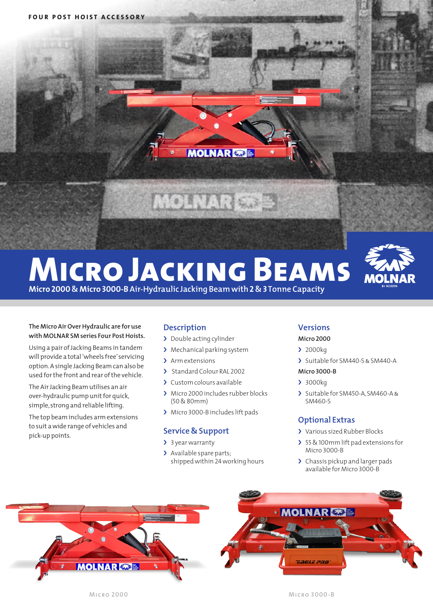

# **Micro Jacking Beams**



**Micro 2000 & Micro 3000-B Air-Hydraulic Jacking Beam with 2 & 3 Tonne Capacity**

#### **The Micro Air Over Hydraulic are for use with MOLNAR SM series Four Post Hoists.**

Using a pair of Jacking Beams in tandem will provide a total 'wheels free' servicing option. A single Jacking Beam can also be used for the front and rear of the vehicle.

The Air Jacking Beam utilises an air over-hydraulic pump unit for quick, simple, strong and reliable lifting.

The top beam includes arm extensions to suit a wide range of vehicles and pick-up points.

# **Description**

- > Double acting cylinder
- > Mechanical parking system
- > Arm extensions
- › Standard Colour RAL 2002
- › Custom colours available
- › Micro 2000 includes rubber blocks (50 & 80mm)
- › Micro 3000-B includes lift pads

### **Service & Support**

- > 3 year warranty
- > Available spare parts; shipped within 24 working hours

## **Versions**

### **Micro 2000**

- › 2000kg
- › Suitable for SM440-S & SM440-A

### **Micro 3000-B**

- › 3000kg
- › Suitable for SM450-A, SM460-A & SM460-S

# **Optional Extras**

- > Various sized Rubber Blocks
- > 55 & 100mm lift pad extensions for Micro 3000-B
- > Chassis pickup and larger pads available for Micro 3000-B